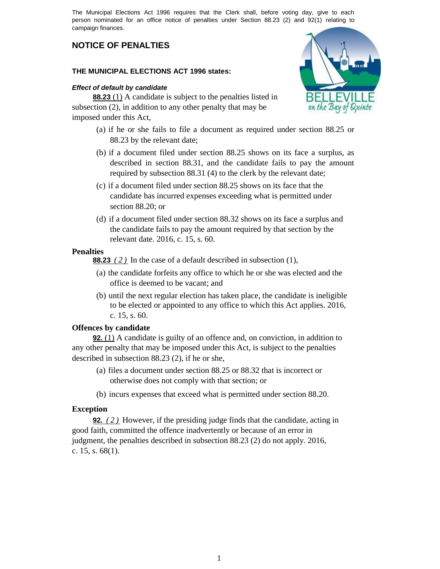The Municipal Elections Act 1996 requires that the Clerk shall, before voting day, give to each person nominated for an office notice of penalties under Section 88.23 (2) and 92(1) relating to campaign finances.

# **NOTICE OF PENALTIES**

## **THE MUNICIPAL ELECTIONS ACT 1996 states:**

### *Effect of default by candidate*

**88.23** (1) A candidate is subject to the penalties listed in subsection (2), in addition to any other penalty that may be imposed under this Act,

- (a) if he or she fails to file a document as required under section 88.25 or 88.23 by the relevant date;
- (b) if a document filed under section 88.25 shows on its face a surplus, as described in section 88.31, and the candidate fails to pay the amount required by subsection 88.31 (4) to the clerk by the relevant date;
- (c) if a document filed under section 88.25 shows on its face that the candidate has incurred expenses exceeding what is permitted under section 88.20; or
- (d) if a document filed under section 88.32 shows on its face a surplus and the candidate fails to pay the amount required by that section by the relevant date. 2016, c. 15, s. 60.

## **Penalties**

**88.23** *(2)* In the case of a default described in subsection (1),

- (a) the candidate forfeits any office to which he or she was elected and the office is deemed to be vacant; and
- (b) until the next regular election has taken place, the candidate is ineligible to be elected or appointed to any office to which this Act applies. 2016, c. 15, s. 60.

## **Offences by candidate**

**92.** (1) A candidate is guilty of an offence and, on conviction, in addition to any other penalty that may be imposed under this Act, is subject to the penalties described in subsection 88.23 (2), if he or she,

- (a) files a document under section 88.25 or 88.32 that is incorrect or otherwise does not comply with that section; or
- (b) incurs expenses that exceed what is permitted under section 88.20.

## **Exception**

**92.** *(2)* However, if the presiding judge finds that the candidate, acting in good faith, committed the offence inadvertently or because of an error in judgment, the penalties described in subsection 88.23 (2) do not apply. 2016, c. 15, s. 68(1).